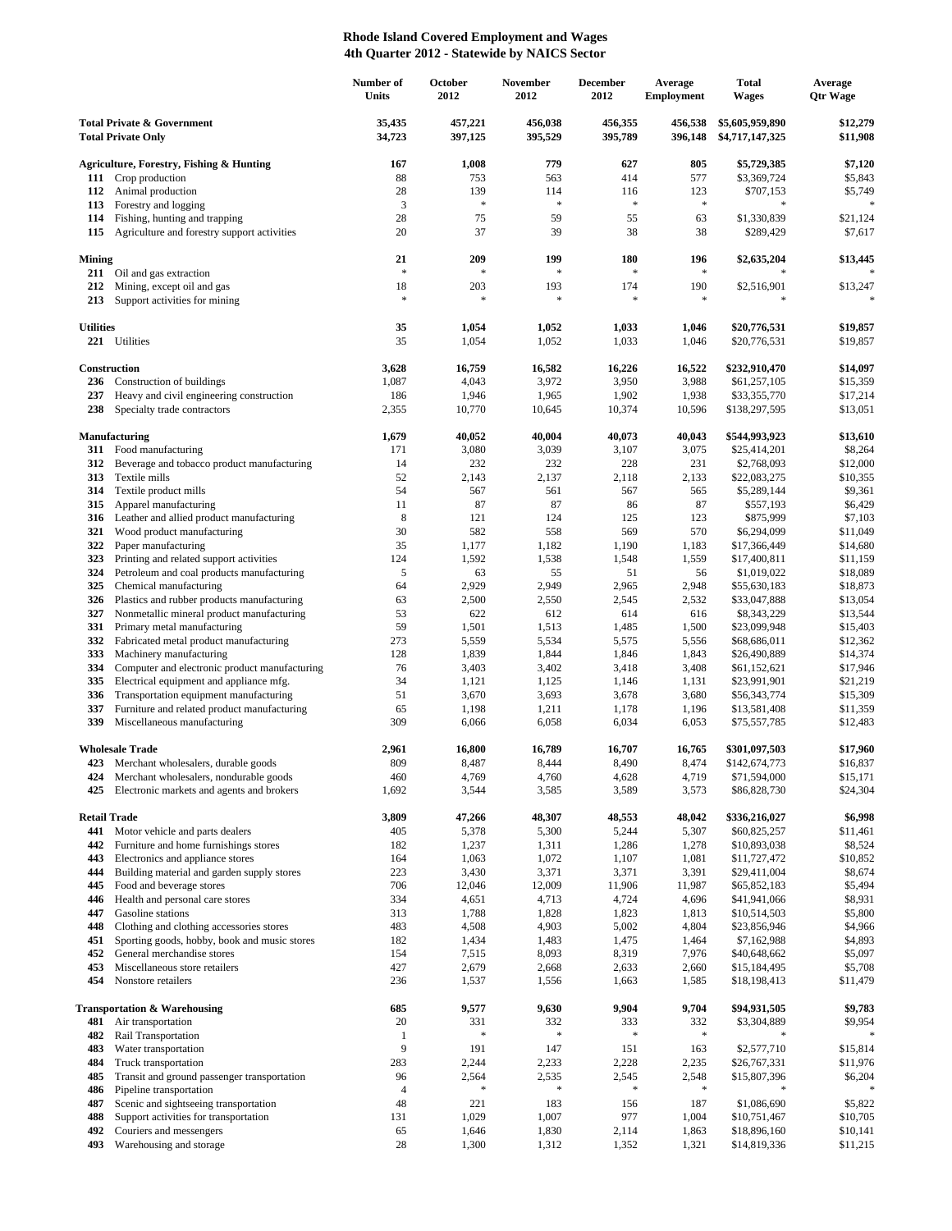## **Rhode Island Covered Employment and Wages 4th Quarter 2012 - Statewide by NAICS Sector**

|                                                                    |                                                                          | Number of<br>Units | October<br>2012      | <b>November</b><br>2012 | December<br>2012   | Average<br><b>Employment</b> | <b>Total</b><br><b>Wages</b>       | Average<br><b>Qtr Wage</b> |
|--------------------------------------------------------------------|--------------------------------------------------------------------------|--------------------|----------------------|-------------------------|--------------------|------------------------------|------------------------------------|----------------------------|
| <b>Total Private &amp; Government</b><br><b>Total Private Only</b> |                                                                          | 35,435<br>34,723   | 457,221<br>397,125   | 456,038<br>395,529      | 456,355<br>395,789 | 456,538<br>396,148           | \$5,605,959,890<br>\$4,717,147,325 | \$12,279<br>\$11,908       |
|                                                                    | <b>Agriculture, Forestry, Fishing &amp; Hunting</b>                      | 167                | 1,008                | 779                     | 627                | 805                          | \$5,729,385                        | \$7,120                    |
| 111                                                                | Crop production                                                          | 88                 | 753                  | 563                     | 414                | 577                          | \$3,369,724                        | \$5,843                    |
| 112                                                                | Animal production                                                        | 28                 | 139                  | 114                     | 116                | 123                          | \$707,153                          | \$5,749                    |
| 113                                                                | Forestry and logging                                                     | $\mathfrak{Z}$     | $\ast$               | $\ast$                  | $\approx$          | $\frac{1}{2}$                | $\ast$                             | $\ast$                     |
| 114                                                                | Fishing, hunting and trapping                                            | 28                 | 75                   | 59                      | 55                 | 63                           | \$1,330,839                        | \$21,124                   |
| 115                                                                | Agriculture and forestry support activities                              | 20                 | 37                   | 39                      | 38                 | 38                           | \$289,429                          | \$7,617                    |
| <b>Mining</b><br>211                                               | Oil and gas extraction                                                   | 21<br>$\ast$       | 209<br>$\ast$        | 199<br>$\frac{1}{2}$    | 180<br>$\ast$      | 196<br>$\ast$                | \$2,635,204                        | \$13,445                   |
| 212                                                                | Mining, except oil and gas                                               | 18                 | 203                  | 193                     | 174                | 190                          | \$2,516,901                        | \$13,247                   |
| 213                                                                | Support activities for mining                                            | $\ast$             | ×                    | $\ast$                  | $\ast$             | $\ast$                       | $\ast$                             | $\ast$                     |
| <b>Utilities</b>                                                   |                                                                          | 35                 | 1,054                | 1,052                   | 1,033              | 1,046                        | \$20,776,531                       | \$19,857                   |
| 221                                                                | Utilities                                                                | 35                 | 1,054                | 1,052                   | 1,033              | 1,046                        | \$20,776,531                       | \$19,857                   |
|                                                                    | Construction                                                             | 3,628              | 16,759               | 16,582                  | 16,226             | 16,522                       | \$232,910,470                      | \$14,097                   |
| 236                                                                | Construction of buildings<br>Heavy and civil engineering construction    | 1,087              | 4,043                | 3,972                   | 3,950              | 3,988                        | \$61,257,105<br>\$33,355,770       | \$15,359                   |
| 237<br>238                                                         | Specialty trade contractors                                              | 186<br>2,355       | 1,946<br>10,770      | 1,965<br>10,645         | 1,902<br>10,374    | 1,938<br>10,596              | \$138,297,595                      | \$17,214<br>\$13,051       |
|                                                                    |                                                                          |                    |                      |                         |                    |                              |                                    |                            |
|                                                                    | <b>Manufacturing</b>                                                     | 1,679              | 40,052               | 40,004                  | 40,073             | 40,043                       | \$544,993,923                      | \$13,610                   |
|                                                                    | 311 Food manufacturing                                                   | 171                | 3,080                | 3,039                   | 3,107              | 3,075                        | \$25,414,201                       | \$8,264                    |
| 312                                                                | Beverage and tobacco product manufacturing                               | 14                 | 232                  | 232                     | 228                | 231                          | \$2,768,093                        | \$12,000                   |
| 313<br>314                                                         | Textile mills<br>Textile product mills                                   | 52<br>54           | 2,143<br>567         | 2,137<br>561            | 2,118<br>567       | 2,133<br>565                 | \$22,083,275<br>\$5,289,144        | \$10,355<br>\$9,361        |
| 315                                                                | Apparel manufacturing                                                    | 11                 | 87                   | 87                      | 86                 | 87                           | \$557,193                          | \$6,429                    |
| 316                                                                | Leather and allied product manufacturing                                 | 8                  | 121                  | 124                     | 125                | 123                          | \$875,999                          | \$7,103                    |
| 321                                                                | Wood product manufacturing                                               | 30                 | 582                  | 558                     | 569                | 570                          | \$6,294,099                        | \$11,049                   |
| 322                                                                | Paper manufacturing                                                      | 35                 | 1,177                | 1,182                   | 1,190              | 1,183                        | \$17,366,449                       | \$14,680                   |
| 323                                                                | Printing and related support activities                                  | 124                | 1,592                | 1,538                   | 1,548              | 1,559                        | \$17,400,811                       | \$11,159                   |
| 324                                                                | Petroleum and coal products manufacturing                                | $\mathfrak s$      | 63                   | 55                      | 51                 | 56                           | \$1,019,022                        | \$18,089                   |
| 325                                                                | Chemical manufacturing                                                   | 64                 | 2,929                | 2,949                   | 2,965              | 2,948                        | \$55,630,183                       | \$18,873                   |
| 326                                                                | Plastics and rubber products manufacturing                               | 63                 | 2,500                | 2,550                   | 2,545              | 2,532                        | \$33,047,888                       | \$13,054                   |
| 327                                                                | Nonmetallic mineral product manufacturing                                | 53                 | 622                  | 612                     | 614                | 616                          | \$8,343,229                        | \$13,544                   |
| 331                                                                | Primary metal manufacturing                                              | 59                 | 1,501                | 1,513                   | 1,485              | 1,500                        | \$23,099,948                       | \$15,403                   |
| 332                                                                | Fabricated metal product manufacturing                                   | 273                | 5,559                | 5,534                   | 5,575              | 5,556                        | \$68,686,011                       | \$12,362                   |
| 333<br>334                                                         | Machinery manufacturing<br>Computer and electronic product manufacturing | 128<br>76          | 1,839<br>3,403       | 1,844<br>3,402          | 1,846<br>3,418     | 1,843<br>3,408               | \$26,490,889<br>\$61,152,621       | \$14,374<br>\$17,946       |
| 335                                                                | Electrical equipment and appliance mfg.                                  | 34                 | 1,121                | 1,125                   | 1,146              | 1,131                        | \$23,991,901                       | \$21,219                   |
| 336                                                                | Transportation equipment manufacturing                                   | 51                 | 3,670                | 3,693                   | 3,678              | 3,680                        | \$56,343,774                       | \$15,309                   |
| 337                                                                | Furniture and related product manufacturing                              | 65                 | 1,198                | 1,211                   | 1,178              | 1,196                        | \$13,581,408                       | \$11,359                   |
| 339                                                                | Miscellaneous manufacturing                                              | 309                | 6,066                | 6,058                   | 6,034              | 6,053                        | \$75,557,785                       | \$12,483                   |
|                                                                    | <b>Wholesale Trade</b>                                                   | 2,961              | 16,800               | 16,789                  | 16,707             | 16,765                       | \$301,097,503                      | \$17,960                   |
| 423                                                                | Merchant wholesalers, durable goods                                      | 809                | 8,487                | 8,444                   | 8,490              | 8,474                        | \$142,674,773                      | \$16,837                   |
| 424                                                                | Merchant wholesalers, nondurable goods                                   | 460                | 4,769                | 4,760                   | 4,628              | 4,719                        | \$71,594,000                       | \$15,171                   |
| 425                                                                | Electronic markets and agents and brokers                                | 1,692              | 3,544                | 3,585                   | 3,589              | 3,573                        | \$86,828,730                       | \$24,304                   |
| <b>Retail Trade</b>                                                |                                                                          | 3,809              | 47,266               | 48,307                  | 48,553             | 48,042                       | \$336,216,027<br>\$60,825,257      | \$6,998                    |
| 441<br>442                                                         | Motor vehicle and parts dealers<br>Furniture and home furnishings stores | 405<br>182         | 5,378<br>1,237       | 5,300<br>1,311          | 5,244<br>1,286     | 5,307<br>1,278               | \$10,893,038                       | \$11,461<br>\$8,524        |
| 443                                                                | Electronics and appliance stores                                         | 164                | 1,063                | 1,072                   | 1,107              | 1,081                        | \$11,727,472                       | \$10,852                   |
| 444                                                                | Building material and garden supply stores                               | 223                | 3,430                | 3,371                   | 3,371              | 3,391                        | \$29,411,004                       | \$8,674                    |
| 445                                                                | Food and beverage stores                                                 | 706                | 12,046               | 12,009                  | 11,906             | 11,987                       | \$65,852,183                       | \$5,494                    |
| 446                                                                | Health and personal care stores                                          | 334                | 4,651                | 4,713                   | 4,724              | 4,696                        | \$41,941,066                       | \$8,931                    |
| 447                                                                | Gasoline stations                                                        | 313                | 1,788                | 1,828                   | 1,823              | 1,813                        | \$10,514,503                       | \$5,800                    |
| 448                                                                | Clothing and clothing accessories stores                                 | 483                | 4,508                | 4,903                   | 5,002              | 4,804                        | \$23,856,946                       | \$4,966                    |
| 451                                                                | Sporting goods, hobby, book and music stores                             | 182                | 1,434                | 1,483                   | 1,475              | 1,464                        | \$7,162,988                        | \$4,893                    |
| 452                                                                | General merchandise stores                                               | 154                | 7,515                | 8,093                   | 8,319              | 7,976                        | \$40,648,662                       | \$5,097                    |
| 453                                                                | Miscellaneous store retailers                                            | 427                | 2,679                | 2,668                   | 2,633              | 2,660                        | \$15,184,495                       | \$5,708                    |
| 454                                                                | Nonstore retailers                                                       | 236                | 1,537                | 1,556                   | 1,663              | 1,585                        | \$18,198,413                       | \$11,479                   |
|                                                                    | <b>Transportation &amp; Warehousing</b>                                  | 685                | 9,577                | 9,630                   | 9,904              | 9,704                        | \$94,931,505                       | \$9,783                    |
| 481                                                                | Air transportation                                                       | 20<br>1            | 331<br>$\frac{1}{2}$ | 332<br>$\ast$           | 333<br>*           | 332<br>$\gg$                 | \$3,304,889                        | \$9,954                    |
| 482<br>483                                                         | Rail Transportation<br>Water transportation                              | 9                  | 191                  | 147                     | 151                | 163                          | \$2,577,710                        | \$15,814                   |
| 484                                                                | Truck transportation                                                     | 283                | 2,244                | 2,233                   | 2,228              | 2,235                        | \$26,767,331                       | \$11,976                   |
| 485                                                                | Transit and ground passenger transportation                              | 96                 | 2,564                | 2,535                   | 2,545              | 2,548                        | \$15,807,396                       | \$6,204                    |
| 486                                                                | Pipeline transportation                                                  | $\overline{4}$     |                      | $\ast$                  | $\ast$             | $\ast$                       |                                    |                            |
| 487                                                                | Scenic and sightseeing transportation                                    | 48                 | 221                  | 183                     | 156                | 187                          | \$1,086,690                        | \$5,822                    |
| 488                                                                | Support activities for transportation                                    | 131                | 1,029                | 1,007                   | 977                | 1,004                        | \$10,751,467                       | \$10,705                   |
| 492                                                                | Couriers and messengers                                                  | 65                 | 1,646                | 1,830                   | 2,114              | 1,863                        | \$18,896,160                       | \$10,141                   |
| 493                                                                | Warehousing and storage                                                  | 28                 | 1,300                | 1,312                   | 1,352              | 1,321                        | \$14,819,336                       | \$11,215                   |